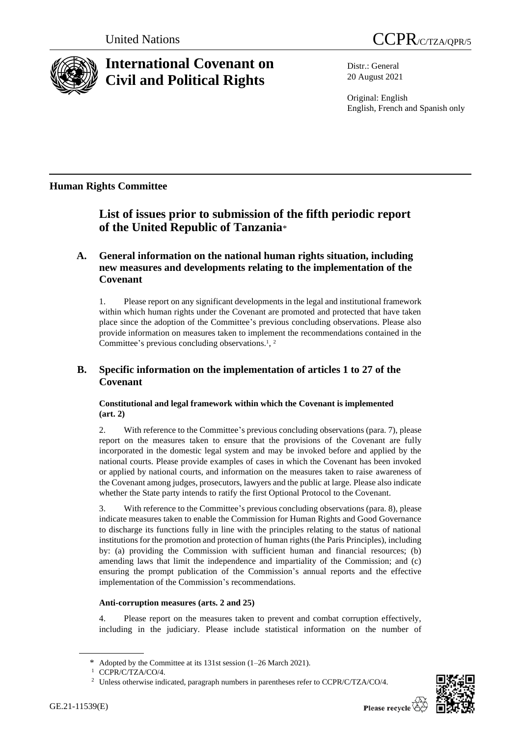



# **International Covenant on Civil and Political Rights**

Distr.: General 20 August 2021

Original: English English, French and Spanish only

## **Human Rights Committee**

## **List of issues prior to submission of the fifth periodic report of the United Republic of Tanzania**\*

### **A. General information on the national human rights situation, including new measures and developments relating to the implementation of the Covenant**

1. Please report on any significant developments in the legal and institutional framework within which human rights under the Covenant are promoted and protected that have taken place since the adoption of the Committee's previous concluding observations. Please also provide information on measures taken to implement the recommendations contained in the Committee's previous concluding observations.<sup>1</sup>, <sup>2</sup>

## **B. Specific information on the implementation of articles 1 to 27 of the Covenant**

#### **Constitutional and legal framework within which the Covenant is implemented (art. 2)**

2. With reference to the Committee's previous concluding observations (para. 7), please report on the measures taken to ensure that the provisions of the Covenant are fully incorporated in the domestic legal system and may be invoked before and applied by the national courts. Please provide examples of cases in which the Covenant has been invoked or applied by national courts, and information on the measures taken to raise awareness of the Covenant among judges, prosecutors, lawyers and the public at large. Please also indicate whether the State party intends to ratify the first Optional Protocol to the Covenant.

3. With reference to the Committee's previous concluding observations (para. 8), please indicate measures taken to enable the Commission for Human Rights and Good Governance to discharge its functions fully in line with the principles relating to the status of national institutions for the promotion and protection of human rights (the Paris Principles), including by: (a) providing the Commission with sufficient human and financial resources; (b) amending laws that limit the independence and impartiality of the Commission; and (c) ensuring the prompt publication of the Commission's annual reports and the effective implementation of the Commission's recommendations.

#### **Anti-corruption measures (arts. 2 and 25)**

4. Please report on the measures taken to prevent and combat corruption effectively, including in the judiciary. Please include statistical information on the number of



<sup>\*</sup> Adopted by the Committee at its 131st session (1–26 March 2021).

<sup>1</sup> CCPR/C/TZA/CO/4.

<sup>&</sup>lt;sup>2</sup> Unless otherwise indicated, paragraph numbers in parentheses refer to CCPR/C/TZA/CO/4.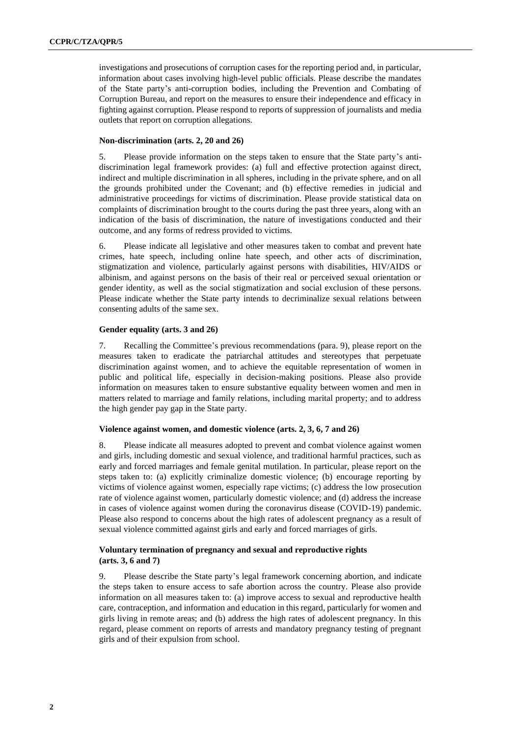investigations and prosecutions of corruption cases for the reporting period and, in particular, information about cases involving high-level public officials. Please describe the mandates of the State party's anti-corruption bodies, including the Prevention and Combating of Corruption Bureau, and report on the measures to ensure their independence and efficacy in fighting against corruption. Please respond to reports of suppression of journalists and media outlets that report on corruption allegations.

#### **Non-discrimination (arts. 2, 20 and 26)**

5. Please provide information on the steps taken to ensure that the State party's antidiscrimination legal framework provides: (a) full and effective protection against direct, indirect and multiple discrimination in all spheres, including in the private sphere, and on all the grounds prohibited under the Covenant; and (b) effective remedies in judicial and administrative proceedings for victims of discrimination. Please provide statistical data on complaints of discrimination brought to the courts during the past three years, along with an indication of the basis of discrimination, the nature of investigations conducted and their outcome, and any forms of redress provided to victims.

6. Please indicate all legislative and other measures taken to combat and prevent hate crimes, hate speech, including online hate speech, and other acts of discrimination, stigmatization and violence, particularly against persons with disabilities, HIV/AIDS or albinism, and against persons on the basis of their real or perceived sexual orientation or gender identity, as well as the social stigmatization and social exclusion of these persons. Please indicate whether the State party intends to decriminalize sexual relations between consenting adults of the same sex.

#### **Gender equality (arts. 3 and 26)**

7. Recalling the Committee's previous recommendations (para. 9), please report on the measures taken to eradicate the patriarchal attitudes and stereotypes that perpetuate discrimination against women, and to achieve the equitable representation of women in public and political life, especially in decision-making positions. Please also provide information on measures taken to ensure substantive equality between women and men in matters related to marriage and family relations, including marital property; and to address the high gender pay gap in the State party.

#### **Violence against women, and domestic violence (arts. 2, 3, 6, 7 and 26)**

8. Please indicate all measures adopted to prevent and combat violence against women and girls, including domestic and sexual violence, and traditional harmful practices, such as early and forced marriages and female genital mutilation. In particular, please report on the steps taken to: (a) explicitly criminalize domestic violence; (b) encourage reporting by victims of violence against women, especially rape victims; (c) address the low prosecution rate of violence against women, particularly domestic violence; and (d) address the increase in cases of violence against women during the coronavirus disease (COVID-19) pandemic. Please also respond to concerns about the high rates of adolescent pregnancy as a result of sexual violence committed against girls and early and forced marriages of girls.

#### **Voluntary termination of pregnancy and sexual and reproductive rights (arts. 3, 6 and 7)**

9. Please describe the State party's legal framework concerning abortion, and indicate the steps taken to ensure access to safe abortion across the country. Please also provide information on all measures taken to: (a) improve access to sexual and reproductive health care, contraception, and information and education in this regard, particularly for women and girls living in remote areas; and (b) address the high rates of adolescent pregnancy. In this regard, please comment on reports of arrests and mandatory pregnancy testing of pregnant girls and of their expulsion from school.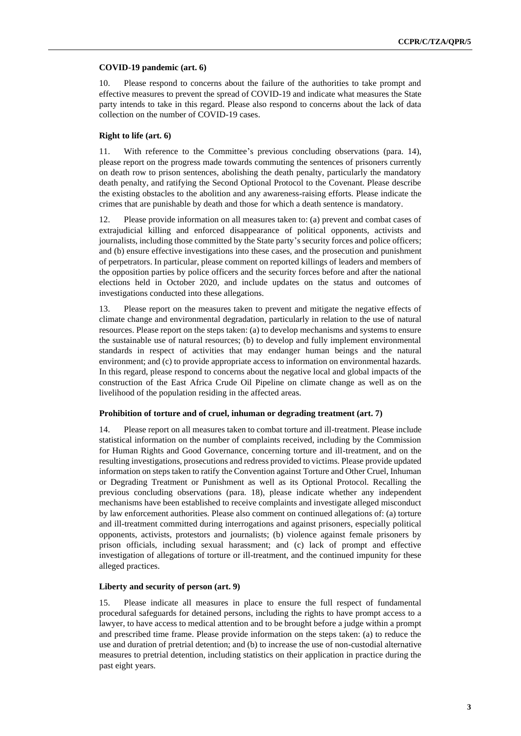#### **COVID-19 pandemic (art. 6)**

10. Please respond to concerns about the failure of the authorities to take prompt and effective measures to prevent the spread of COVID-19 and indicate what measures the State party intends to take in this regard. Please also respond to concerns about the lack of data collection on the number of COVID-19 cases.

#### **Right to life (art. 6)**

11. With reference to the Committee's previous concluding observations (para. 14), please report on the progress made towards commuting the sentences of prisoners currently on death row to prison sentences, abolishing the death penalty, particularly the mandatory death penalty, and ratifying the Second Optional Protocol to the Covenant. Please describe the existing obstacles to the abolition and any awareness-raising efforts. Please indicate the crimes that are punishable by death and those for which a death sentence is mandatory.

12. Please provide information on all measures taken to: (a) prevent and combat cases of extrajudicial killing and enforced disappearance of political opponents, activists and journalists, including those committed by the State party's security forces and police officers; and (b) ensure effective investigations into these cases, and the prosecution and punishment of perpetrators. In particular, please comment on reported killings of leaders and members of the opposition parties by police officers and the security forces before and after the national elections held in October 2020, and include updates on the status and outcomes of investigations conducted into these allegations.

13. Please report on the measures taken to prevent and mitigate the negative effects of climate change and environmental degradation, particularly in relation to the use of natural resources. Please report on the steps taken: (a) to develop mechanisms and systems to ensure the sustainable use of natural resources; (b) to develop and fully implement environmental standards in respect of activities that may endanger human beings and the natural environment; and (c) to provide appropriate access to information on environmental hazards. In this regard, please respond to concerns about the negative local and global impacts of the construction of the East Africa Crude Oil Pipeline on climate change as well as on the livelihood of the population residing in the affected areas.

#### **Prohibition of torture and of cruel, inhuman or degrading treatment (art. 7)**

14. Please report on all measures taken to combat torture and ill-treatment. Please include statistical information on the number of complaints received, including by the Commission for Human Rights and Good Governance, concerning torture and ill-treatment, and on the resulting investigations, prosecutions and redress provided to victims. Please provide updated information on steps taken to ratify the Convention against Torture and Other Cruel, Inhuman or Degrading Treatment or Punishment as well as its Optional Protocol. Recalling the previous concluding observations (para. 18), please indicate whether any independent mechanisms have been established to receive complaints and investigate alleged misconduct by law enforcement authorities. Please also comment on continued allegations of: (a) torture and ill-treatment committed during interrogations and against prisoners, especially political opponents, activists, protestors and journalists; (b) violence against female prisoners by prison officials, including sexual harassment; and (c) lack of prompt and effective investigation of allegations of torture or ill-treatment, and the continued impunity for these alleged practices.

#### **Liberty and security of person (art. 9)**

15. Please indicate all measures in place to ensure the full respect of fundamental procedural safeguards for detained persons, including the rights to have prompt access to a lawyer, to have access to medical attention and to be brought before a judge within a prompt and prescribed time frame. Please provide information on the steps taken: (a) to reduce the use and duration of pretrial detention; and (b) to increase the use of non-custodial alternative measures to pretrial detention, including statistics on their application in practice during the past eight years.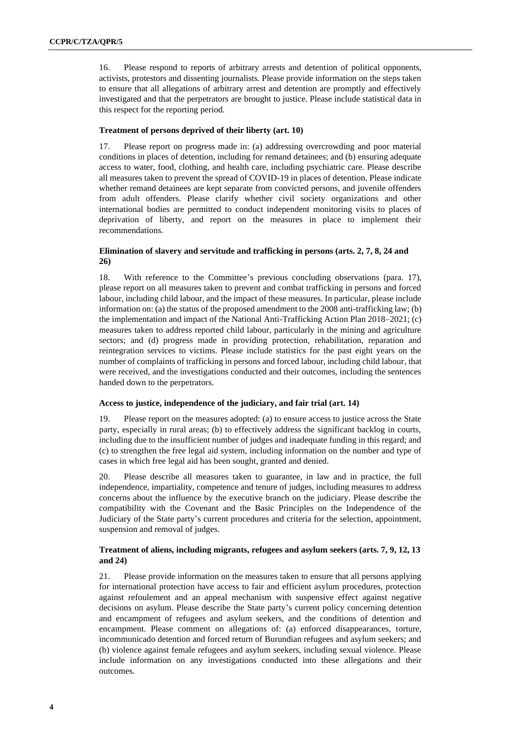16. Please respond to reports of arbitrary arrests and detention of political opponents, activists, protestors and dissenting journalists. Please provide information on the steps taken to ensure that all allegations of arbitrary arrest and detention are promptly and effectively investigated and that the perpetrators are brought to justice. Please include statistical data in this respect for the reporting period.

#### **Treatment of persons deprived of their liberty (art. 10)**

17. Please report on progress made in: (a) addressing overcrowding and poor material conditions in places of detention, including for remand detainees; and (b) ensuring adequate access to water, food, clothing, and health care, including psychiatric care. Please describe all measures taken to prevent the spread of COVID-19 in places of detention. Please indicate whether remand detainees are kept separate from convicted persons, and juvenile offenders from adult offenders. Please clarify whether civil society organizations and other international bodies are permitted to conduct independent monitoring visits to places of deprivation of liberty, and report on the measures in place to implement their recommendations.

#### **Elimination of slavery and servitude and trafficking in persons (arts. 2, 7, 8, 24 and 26)**

18. With reference to the Committee's previous concluding observations (para. 17), please report on all measures taken to prevent and combat trafficking in persons and forced labour, including child labour, and the impact of these measures. In particular, please include information on: (a) the status of the proposed amendment to the 2008 anti-trafficking law; (b) the implementation and impact of the National Anti-Trafficking Action Plan 2018–2021; (c) measures taken to address reported child labour, particularly in the mining and agriculture sectors; and (d) progress made in providing protection, rehabilitation, reparation and reintegration services to victims. Please include statistics for the past eight years on the number of complaints of trafficking in persons and forced labour, including child labour, that were received, and the investigations conducted and their outcomes, including the sentences handed down to the perpetrators.

#### **Access to justice, independence of the judiciary, and fair trial (art. 14)**

19. Please report on the measures adopted: (a) to ensure access to justice across the State party, especially in rural areas; (b) to effectively address the significant backlog in courts, including due to the insufficient number of judges and inadequate funding in this regard; and (c) to strengthen the free legal aid system, including information on the number and type of cases in which free legal aid has been sought, granted and denied.

20. Please describe all measures taken to guarantee, in law and in practice, the full independence, impartiality, competence and tenure of judges, including measures to address concerns about the influence by the executive branch on the judiciary. Please describe the compatibility with the Covenant and the Basic Principles on the Independence of the Judiciary of the State party's current procedures and criteria for the selection, appointment, suspension and removal of judges.

#### **Treatment of aliens, including migrants, refugees and asylum seekers (arts. 7, 9, 12, 13 and 24)**

21. Please provide information on the measures taken to ensure that all persons applying for international protection have access to fair and efficient asylum procedures, protection against refoulement and an appeal mechanism with suspensive effect against negative decisions on asylum. Please describe the State party's current policy concerning detention and encampment of refugees and asylum seekers, and the conditions of detention and encampment. Please comment on allegations of: (a) enforced disappearances, torture, incommunicado detention and forced return of Burundian refugees and asylum seekers; and (b) violence against female refugees and asylum seekers, including sexual violence. Please include information on any investigations conducted into these allegations and their outcomes.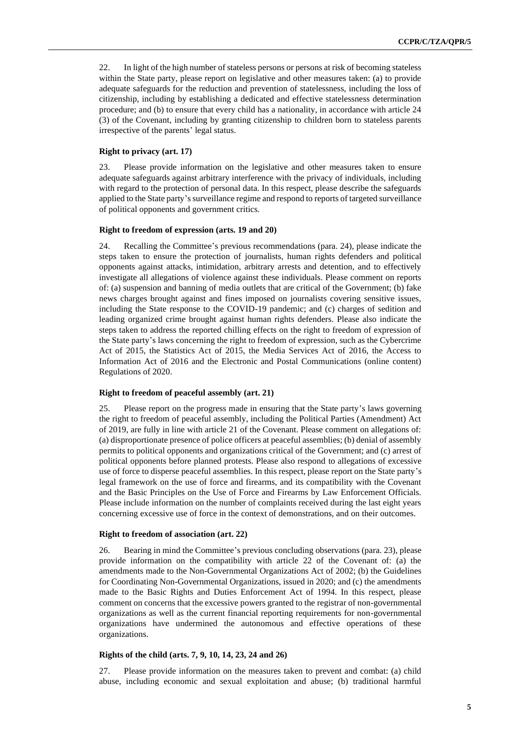22. In light of the high number of stateless persons or persons at risk of becoming stateless within the State party, please report on legislative and other measures taken: (a) to provide adequate safeguards for the reduction and prevention of statelessness, including the loss of citizenship, including by establishing a dedicated and effective statelessness determination procedure; and (b) to ensure that every child has a nationality, in accordance with article 24 (3) of the Covenant, including by granting citizenship to children born to stateless parents irrespective of the parents' legal status.

#### **Right to privacy (art. 17)**

23. Please provide information on the legislative and other measures taken to ensure adequate safeguards against arbitrary interference with the privacy of individuals, including with regard to the protection of personal data. In this respect, please describe the safeguards applied to the State party's surveillance regime and respond to reports of targeted surveillance of political opponents and government critics.

#### **Right to freedom of expression (arts. 19 and 20)**

24. Recalling the Committee's previous recommendations (para. 24), please indicate the steps taken to ensure the protection of journalists, human rights defenders and political opponents against attacks, intimidation, arbitrary arrests and detention, and to effectively investigate all allegations of violence against these individuals. Please comment on reports of: (a) suspension and banning of media outlets that are critical of the Government; (b) fake news charges brought against and fines imposed on journalists covering sensitive issues, including the State response to the COVID-19 pandemic; and (c) charges of sedition and leading organized crime brought against human rights defenders. Please also indicate the steps taken to address the reported chilling effects on the right to freedom of expression of the State party's laws concerning the right to freedom of expression, such as the Cybercrime Act of 2015, the Statistics Act of 2015, the Media Services Act of 2016, the Access to Information Act of 2016 and the Electronic and Postal Communications (online content) Regulations of 2020.

#### **Right to freedom of peaceful assembly (art. 21)**

25. Please report on the progress made in ensuring that the State party's laws governing the right to freedom of peaceful assembly, including the Political Parties (Amendment) Act of 2019, are fully in line with article 21 of the Covenant. Please comment on allegations of: (a) disproportionate presence of police officers at peaceful assemblies; (b) denial of assembly permits to political opponents and organizations critical of the Government; and (c) arrest of political opponents before planned protests. Please also respond to allegations of excessive use of force to disperse peaceful assemblies. In this respect, please report on the State party's legal framework on the use of force and firearms, and its compatibility with the Covenant and the Basic Principles on the Use of Force and Firearms by Law Enforcement Officials. Please include information on the number of complaints received during the last eight years concerning excessive use of force in the context of demonstrations, and on their outcomes.

#### **Right to freedom of association (art. 22)**

26. Bearing in mind the Committee's previous concluding observations (para. 23), please provide information on the compatibility with article 22 of the Covenant of: (a) the amendments made to the Non-Governmental Organizations Act of 2002; (b) the Guidelines for Coordinating Non-Governmental Organizations, issued in 2020; and (c) the amendments made to the Basic Rights and Duties Enforcement Act of 1994. In this respect, please comment on concerns that the excessive powers granted to the registrar of non-governmental organizations as well as the current financial reporting requirements for non-governmental organizations have undermined the autonomous and effective operations of these organizations.

#### **Rights of the child (arts. 7, 9, 10, 14, 23, 24 and 26)**

27. Please provide information on the measures taken to prevent and combat: (a) child abuse, including economic and sexual exploitation and abuse; (b) traditional harmful